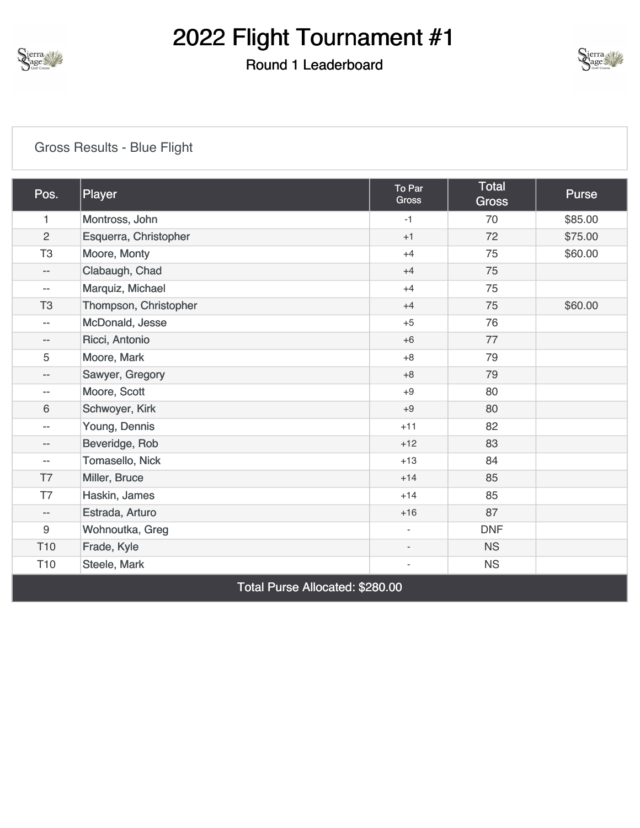

## Round 1 Leaderboard



### [Gross Results - Blue Flight](https://cdn2.golfgenius.com/v2tournaments/8372756083936075945?called_from=&round_index=1)

| Pos.                     | Player                          | To Par<br><b>Gross</b>   | <b>Total</b><br><b>Gross</b> | Purse   |  |  |
|--------------------------|---------------------------------|--------------------------|------------------------------|---------|--|--|
| 1                        | Montross, John                  | $-1$                     | 70                           | \$85.00 |  |  |
| $\overline{2}$           | Esquerra, Christopher           | $+1$                     | 72                           | \$75.00 |  |  |
| T <sub>3</sub>           | Moore, Monty                    | $+4$                     | 75                           | \$60.00 |  |  |
| $-\,-$                   | Clabaugh, Chad                  | $+4$                     | 75                           |         |  |  |
| $\overline{\phantom{a}}$ | Marquiz, Michael                | $+4$                     | 75                           |         |  |  |
| T <sub>3</sub>           | Thompson, Christopher           | $+4$                     | 75                           | \$60.00 |  |  |
| $\overline{\phantom{a}}$ | McDonald, Jesse                 | $+5$                     | 76                           |         |  |  |
| $-\,-$                   | Ricci, Antonio                  | $+6$                     | 77                           |         |  |  |
| 5                        | Moore, Mark                     | $+8$                     | 79                           |         |  |  |
| $\qquad \qquad -$        | Sawyer, Gregory                 | $+8$                     | 79                           |         |  |  |
| $-$                      | Moore, Scott                    | $+9$                     | 80                           |         |  |  |
| $6\phantom{1}$           | Schwoyer, Kirk                  | $+9$                     | 80                           |         |  |  |
| $\overline{\phantom{a}}$ | Young, Dennis                   | $+11$                    | 82                           |         |  |  |
| $\qquad \qquad -$        | Beveridge, Rob                  | $+12$                    | 83                           |         |  |  |
| $- -$                    | Tomasello, Nick                 | $+13$                    | 84                           |         |  |  |
| T7                       | Miller, Bruce                   | $+14$                    | 85                           |         |  |  |
| T7                       | Haskin, James                   | $+14$                    | 85                           |         |  |  |
| $-$                      | Estrada, Arturo                 | $+16$                    | 87                           |         |  |  |
| 9                        | Wohnoutka, Greg                 | $\overline{\phantom{a}}$ | <b>DNF</b>                   |         |  |  |
| T <sub>10</sub>          | Frade, Kyle                     | $\overline{\phantom{a}}$ | <b>NS</b>                    |         |  |  |
| T <sub>10</sub>          | Steele, Mark                    | $\overline{\phantom{a}}$ | <b>NS</b>                    |         |  |  |
|                          | Total Purse Allocated: \$280.00 |                          |                              |         |  |  |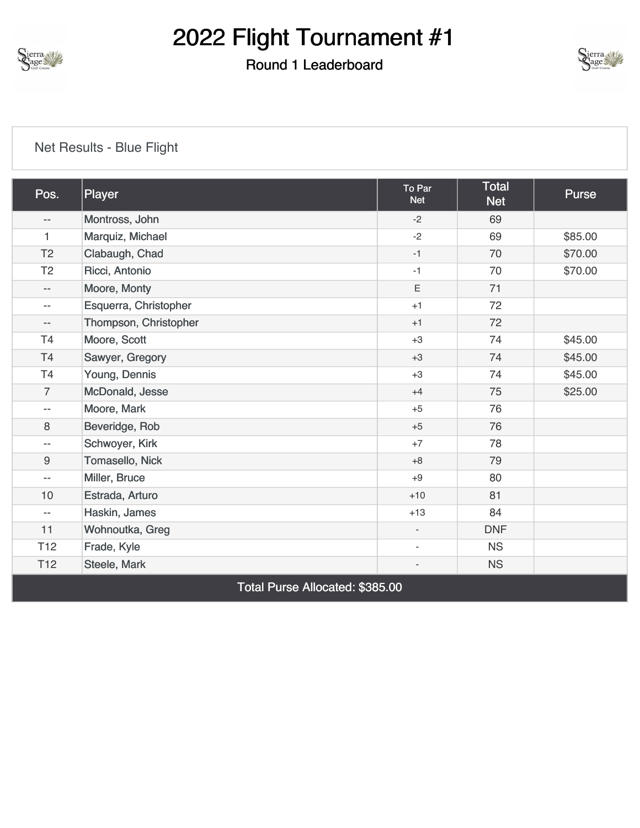

## Round 1 Leaderboard



### [Net Results - Blue Flight](https://cdn2.golfgenius.com/v2tournaments/8372756087023083690?called_from=&round_index=1)

| Pos.                     | Player                          | To Par<br><b>Net</b>     | <b>Total</b><br><b>Net</b> | <b>Purse</b> |  |  |
|--------------------------|---------------------------------|--------------------------|----------------------------|--------------|--|--|
| --                       | Montross, John                  | $-2$                     | 69                         |              |  |  |
| 1                        | Marquiz, Michael                | $-2$                     | 69                         | \$85.00      |  |  |
| T <sub>2</sub>           | Clabaugh, Chad                  | $-1$                     | 70                         | \$70.00      |  |  |
| T <sub>2</sub>           | Ricci, Antonio                  | $-1$                     | 70                         | \$70.00      |  |  |
| $- -$                    | Moore, Monty                    | E                        | 71                         |              |  |  |
| $- -$                    | Esquerra, Christopher           | $+1$                     | 72                         |              |  |  |
| $- -$                    | Thompson, Christopher           | $+1$                     | 72                         |              |  |  |
| T <sub>4</sub>           | Moore, Scott                    | $+3$                     | 74                         | \$45.00      |  |  |
| T <sub>4</sub>           | Sawyer, Gregory                 | $+3$                     | 74                         | \$45.00      |  |  |
| T <sub>4</sub>           | Young, Dennis                   | $+3$                     | 74                         | \$45.00      |  |  |
| $\overline{7}$           | McDonald, Jesse                 | $+4$                     | 75                         | \$25.00      |  |  |
| $- -$                    | Moore, Mark                     | $+5$                     | 76                         |              |  |  |
| 8                        | Beveridge, Rob                  | $+5$                     | 76                         |              |  |  |
| $\overline{\phantom{m}}$ | Schwoyer, Kirk                  | $+7$                     | 78                         |              |  |  |
| $\boldsymbol{9}$         | Tomasello, Nick                 | $+8$                     | 79                         |              |  |  |
| $\overline{\phantom{a}}$ | Miller, Bruce                   | $+9$                     | 80                         |              |  |  |
| 10                       | Estrada, Arturo                 | $+10$                    | 81                         |              |  |  |
| $\overline{\phantom{m}}$ | Haskin, James                   | $+13$                    | 84                         |              |  |  |
| 11                       | Wohnoutka, Greg                 | $\overline{\phantom{a}}$ | <b>DNF</b>                 |              |  |  |
| T <sub>12</sub>          | Frade, Kyle                     | $\overline{\phantom{a}}$ | <b>NS</b>                  |              |  |  |
| T <sub>12</sub>          | Steele, Mark                    | $\overline{\phantom{a}}$ | <b>NS</b>                  |              |  |  |
|                          | Total Purse Allocated: \$385.00 |                          |                            |              |  |  |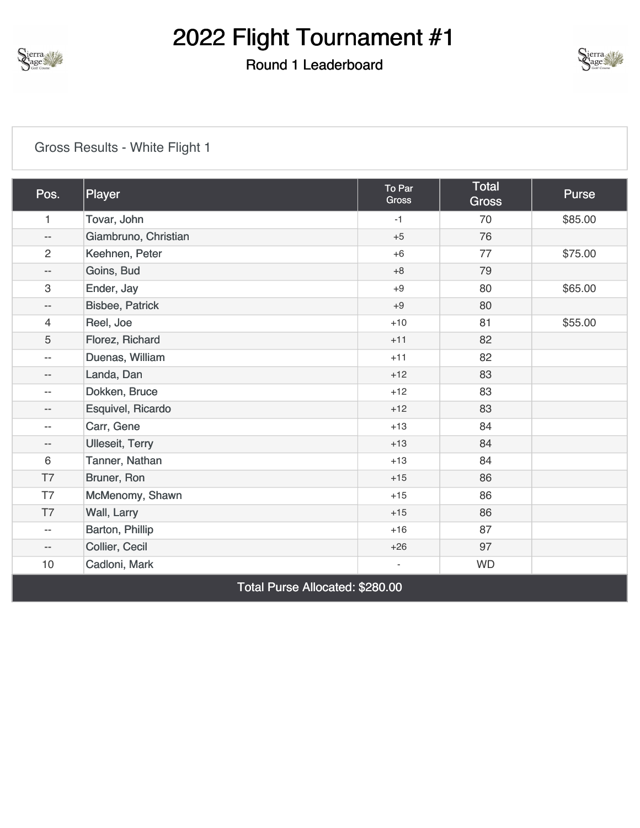

## Round 1 Leaderboard



### [Gross Results - White Flight 1](https://cdn2.golfgenius.com/v2tournaments/8372756076688318630?called_from=&round_index=1)

| Pos.                     | Player                        | To Par<br>Gross          | Total<br><b>Gross</b> | Purse   |
|--------------------------|-------------------------------|--------------------------|-----------------------|---------|
| $\mathbf{1}$             | Tovar, John                   | $-1$                     | 70                    | \$85.00 |
| $-\,-$                   | Giambruno, Christian          | $+5$                     | 76                    |         |
| $\overline{2}$           | Keehnen, Peter                | $+6$                     | 77                    | \$75.00 |
| $\overline{\phantom{a}}$ | Goins, Bud                    | $+8$                     | 79                    |         |
| 3                        | Ender, Jay                    | $+9$                     | 80                    | \$65.00 |
| $\overline{\phantom{a}}$ | <b>Bisbee, Patrick</b>        | $+9$                     | 80                    |         |
| $\overline{4}$           | Reel, Joe                     | $+10$                    | 81                    | \$55.00 |
| 5                        | Florez, Richard               | $+11$                    | 82                    |         |
| $\overline{\phantom{a}}$ | Duenas, William               | $+11$                    | 82                    |         |
| $\qquad \qquad -$        | Landa, Dan                    | $+12$                    | 83                    |         |
| $- -$                    | Dokken, Bruce                 | $+12$                    | 83                    |         |
| $\qquad \qquad -$        | Esquivel, Ricardo             | $+12$                    | 83                    |         |
| $- -$                    | Carr, Gene                    | $+13$                    | 84                    |         |
| $-\,-$                   | <b>Ulleseit, Terry</b>        | $+13$                    | 84                    |         |
| 6                        | Tanner, Nathan                | $+13$                    | 84                    |         |
| T7                       | Bruner, Ron                   | $+15$                    | 86                    |         |
| T7                       | McMenomy, Shawn               | $+15$                    | 86                    |         |
| T7                       | Wall, Larry                   | $+15$                    | 86                    |         |
| $- -$                    | Barton, Phillip               | $+16$                    | 87                    |         |
| $- -$                    | Collier, Cecil                | $+26$                    | 97                    |         |
| 10                       | Cadloni, Mark                 | $\overline{\phantom{m}}$ | <b>WD</b>             |         |
|                          | $T \cup D$ All $\cup$ Angeles |                          |                       |         |

Total Purse Allocated: \$280.00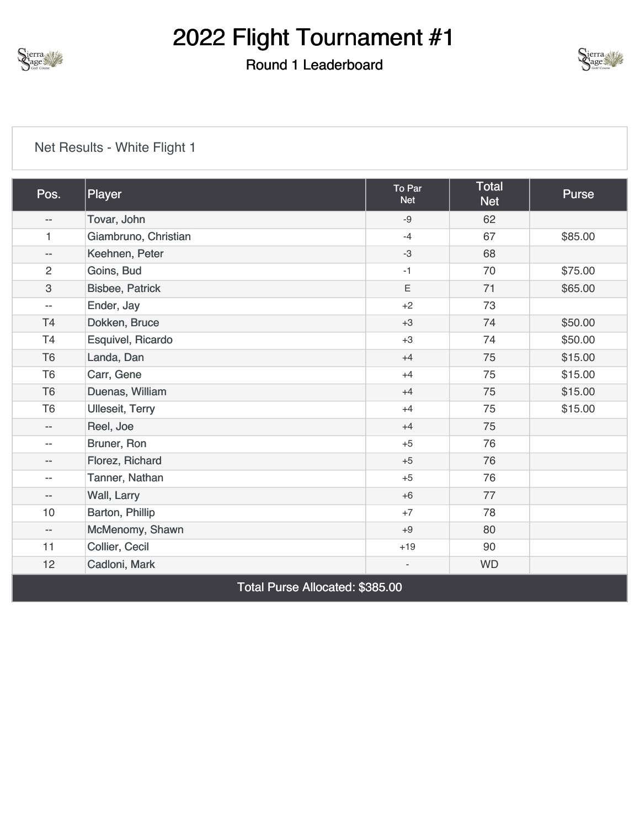

## Round 1 Leaderboard



| Pos.                      | Player                          | To Par<br><b>Net</b>         | <b>Total</b><br><b>Net</b> | Purse   |  |  |
|---------------------------|---------------------------------|------------------------------|----------------------------|---------|--|--|
| $\overline{\phantom{m}}$  | Tovar, John                     | $-9$                         | 62                         |         |  |  |
| $\mathbf{1}$              | Giambruno, Christian            | $-4$                         | 67                         | \$85.00 |  |  |
| $\overline{\phantom{m}}$  | Keehnen, Peter                  | $-3$                         | 68                         |         |  |  |
| $\overline{2}$            | Goins, Bud                      | $-1$                         | 70                         | \$75.00 |  |  |
| $\ensuremath{\mathsf{3}}$ | <b>Bisbee, Patrick</b>          | $\mathsf E$                  | 71                         | \$65.00 |  |  |
| $\overline{\phantom{m}}$  | Ender, Jay                      | $+2$                         | 73                         |         |  |  |
| T4                        | Dokken, Bruce                   | $+3$                         | 74                         | \$50.00 |  |  |
| T <sub>4</sub>            | Esquivel, Ricardo               | $+3$                         | 74                         | \$50.00 |  |  |
| T <sub>6</sub>            | Landa, Dan                      | $+4$                         | 75                         | \$15.00 |  |  |
| T <sub>6</sub>            | Carr, Gene                      | $+4$                         | 75                         | \$15.00 |  |  |
| T <sub>6</sub>            | Duenas, William                 | $+4$                         | 75                         | \$15.00 |  |  |
| T <sub>6</sub>            | <b>Ulleseit, Terry</b>          | $+4$                         | 75                         | \$15.00 |  |  |
| $\overline{\phantom{a}}$  | Reel, Joe                       | $+4$                         | 75                         |         |  |  |
| $\overline{\phantom{a}}$  | Bruner, Ron                     | $+5$                         | 76                         |         |  |  |
| $-\, -$                   | Florez, Richard                 | $+5$                         | 76                         |         |  |  |
| $\overline{\phantom{a}}$  | Tanner, Nathan                  | $+5$                         | 76                         |         |  |  |
| $-\,-$                    | Wall, Larry                     | $+6$                         | 77                         |         |  |  |
| 10                        | Barton, Phillip                 | $+7$                         | 78                         |         |  |  |
| $-\,-$                    | McMenomy, Shawn                 | $+9$                         | 80                         |         |  |  |
| 11                        | Collier, Cecil                  | $+19$                        | 90                         |         |  |  |
| 12                        | Cadloni, Mark                   | $\qquad \qquad \blacksquare$ | <b>WD</b>                  |         |  |  |
|                           | Total Purse Allocated: \$385.00 |                              |                            |         |  |  |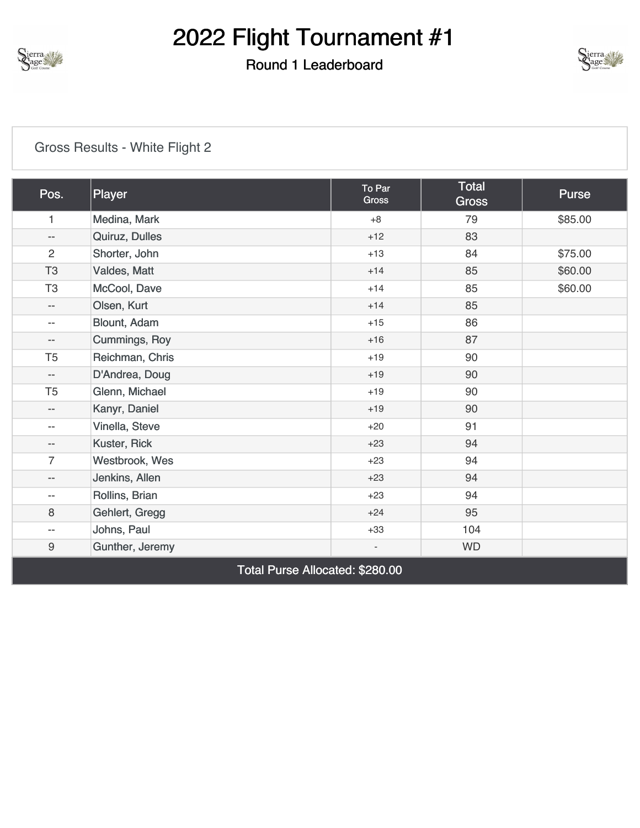

## Round 1 Leaderboard



### [Gross Results - White Flight 2](https://cdn2.golfgenius.com/v2tournaments/8372756070044541091?called_from=&round_index=1)

| Pos.                     | Player                          | To Par<br><b>Gross</b>   | <b>Total</b><br><b>Gross</b> | Purse   |  |  |  |
|--------------------------|---------------------------------|--------------------------|------------------------------|---------|--|--|--|
| $\mathbf{1}$             | Medina, Mark                    | $+8$                     | 79                           | \$85.00 |  |  |  |
| $\overline{\phantom{a}}$ | Quiruz, Dulles                  | $+12$                    | 83                           |         |  |  |  |
| $\overline{2}$           | Shorter, John                   | $+13$                    | 84                           | \$75.00 |  |  |  |
| T <sub>3</sub>           | Valdes, Matt                    | $+14$                    | 85                           | \$60.00 |  |  |  |
| T <sub>3</sub>           | McCool, Dave                    | $+14$                    | 85                           | \$60.00 |  |  |  |
| $\overline{\phantom{a}}$ | Olsen, Kurt                     | $+14$                    | 85                           |         |  |  |  |
| $\overline{\phantom{m}}$ | Blount, Adam                    | $+15$                    | 86                           |         |  |  |  |
| $-$                      | <b>Cummings, Roy</b>            | $+16$                    | 87                           |         |  |  |  |
| T <sub>5</sub>           | Reichman, Chris                 | $+19$                    | 90                           |         |  |  |  |
| $\overline{\phantom{a}}$ | D'Andrea, Doug                  | $+19$                    | 90                           |         |  |  |  |
| T <sub>5</sub>           | Glenn, Michael                  | $+19$                    | 90                           |         |  |  |  |
| $-$                      | Kanyr, Daniel                   | $+19$                    | 90                           |         |  |  |  |
| $-$                      | Vinella, Steve                  | $+20$                    | 91                           |         |  |  |  |
| $-\, -$                  | Kuster, Rick                    | $+23$                    | 94                           |         |  |  |  |
| $\overline{7}$           | Westbrook, Wes                  | $+23$                    | 94                           |         |  |  |  |
| $-$                      | Jenkins, Allen                  | $+23$                    | 94                           |         |  |  |  |
| $-$                      | Rollins, Brian                  | $+23$                    | 94                           |         |  |  |  |
| 8                        | Gehlert, Gregg                  | $+24$                    | 95                           |         |  |  |  |
| $-$                      | Johns, Paul                     | $+33$                    | 104                          |         |  |  |  |
| $\boldsymbol{9}$         | Gunther, Jeremy                 | $\overline{\phantom{a}}$ | <b>WD</b>                    |         |  |  |  |
|                          | Total Purse Allocated: \$280.00 |                          |                              |         |  |  |  |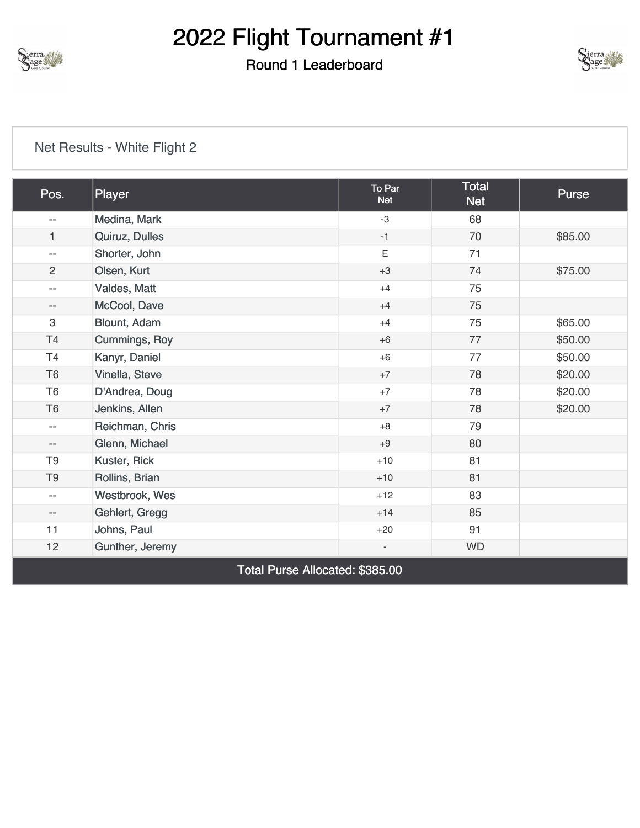

## Round 1 Leaderboard



| Pos.                            | Player          | To Par<br><b>Net</b>     | <b>Total</b><br><b>Net</b> | Purse   |  |
|---------------------------------|-----------------|--------------------------|----------------------------|---------|--|
| $\overline{\phantom{a}}$        | Medina, Mark    | $-3$                     | 68                         |         |  |
| 1                               | Quiruz, Dulles  | $-1$                     | 70                         | \$85.00 |  |
| $\overline{\phantom{a}}$        | Shorter, John   | $\mathsf E$              | 71                         |         |  |
| $\overline{2}$                  | Olsen, Kurt     | $+3$                     | 74                         | \$75.00 |  |
| $\overline{\phantom{m}}$        | Valdes, Matt    | $+4$                     | 75                         |         |  |
| $- -$                           | McCool, Dave    | $+4$                     | 75                         |         |  |
| 3                               | Blount, Adam    | $+4$                     | 75                         | \$65.00 |  |
| <b>T4</b>                       | Cummings, Roy   | $+6$                     | 77                         | \$50.00 |  |
| T4                              | Kanyr, Daniel   | $+6$                     | 77                         | \$50.00 |  |
| T <sub>6</sub>                  | Vinella, Steve  | $+7$                     | 78                         | \$20.00 |  |
| T <sub>6</sub>                  | D'Andrea, Doug  | $+7$                     | 78                         | \$20.00 |  |
| T <sub>6</sub>                  | Jenkins, Allen  | $+7$                     | 78                         | \$20.00 |  |
| $\overline{\phantom{a}}$        | Reichman, Chris | $+8$                     | 79                         |         |  |
| $-\,-$                          | Glenn, Michael  | $+9$                     | 80                         |         |  |
| T <sub>9</sub>                  | Kuster, Rick    | $+10$                    | 81                         |         |  |
| T <sub>9</sub>                  | Rollins, Brian  | $+10$                    | 81                         |         |  |
| --                              | Westbrook, Wes  | $+12$                    | 83                         |         |  |
| $- -$                           | Gehlert, Gregg  | $+14$                    | 85                         |         |  |
| 11                              | Johns, Paul     | $+20$                    | 91                         |         |  |
| 12                              | Gunther, Jeremy | $\overline{\phantom{a}}$ | <b>WD</b>                  |         |  |
| Total Purse Allocated: \$385.00 |                 |                          |                            |         |  |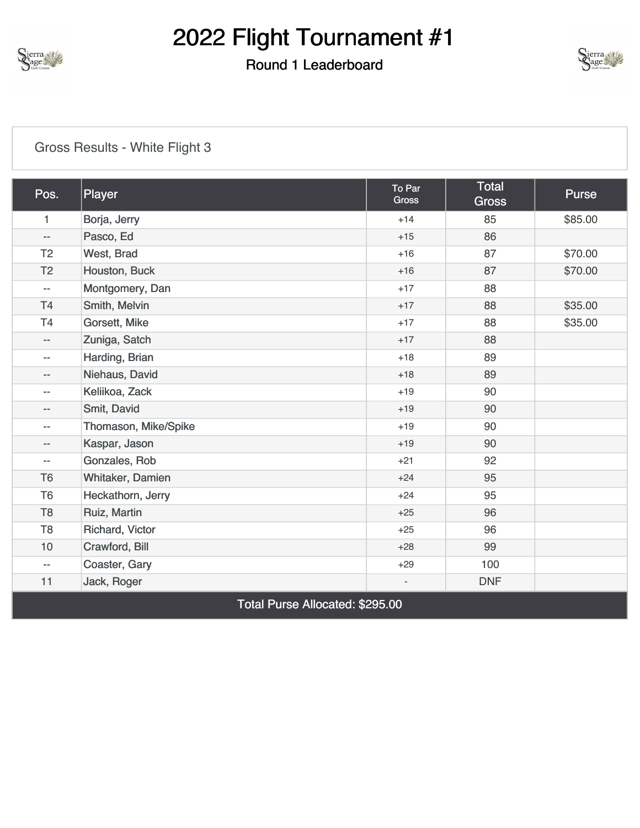

### Round 1 Leaderboard



### [Gross Results - White Flight 3](https://cdn2.golfgenius.com/v2tournaments/8372756062595457184?called_from=&round_index=1)

| Pos.                     | Player               | To Par<br><b>Gross</b>   | Total<br><b>Gross</b> | Purse   |
|--------------------------|----------------------|--------------------------|-----------------------|---------|
| 1                        | Borja, Jerry         | $+14$                    | 85                    | \$85.00 |
| $\overline{\phantom{a}}$ | Pasco, Ed            | $+15$                    | 86                    |         |
| T <sub>2</sub>           | West, Brad           | $+16$                    | 87                    | \$70.00 |
| T <sub>2</sub>           | Houston, Buck        | $+16$                    | 87                    | \$70.00 |
| $\overline{\phantom{a}}$ | Montgomery, Dan      | $+17$                    | 88                    |         |
| T4                       | Smith, Melvin        | $+17$                    | 88                    | \$35.00 |
| T <sub>4</sub>           | Gorsett, Mike        | $+17$                    | 88                    | \$35.00 |
| $\overline{\phantom{a}}$ | Zuniga, Satch        | $+17$                    | 88                    |         |
| $\overline{\phantom{a}}$ | Harding, Brian       | $+18$                    | 89                    |         |
| --                       | Niehaus, David       | $+18$                    | 89                    |         |
| $\overline{\phantom{m}}$ | Keliikoa, Zack       | $+19$                    | 90                    |         |
| --                       | Smit, David          | $+19$                    | 90                    |         |
| $\overline{\phantom{a}}$ | Thomason, Mike/Spike | $+19$                    | 90                    |         |
| --                       | Kaspar, Jason        | $+19$                    | 90                    |         |
| $\overline{\phantom{a}}$ | Gonzales, Rob        | $+21$                    | 92                    |         |
| T <sub>6</sub>           | Whitaker, Damien     | $+24$                    | 95                    |         |
| T <sub>6</sub>           | Heckathorn, Jerry    | $+24$                    | 95                    |         |
| T <sub>8</sub>           | Ruiz, Martin         | $+25$                    | 96                    |         |
| T <sub>8</sub>           | Richard, Victor      | $+25$                    | 96                    |         |
| 10                       | Crawford, Bill       | $+28$                    | 99                    |         |
| $\overline{\phantom{a}}$ | Coaster, Gary        | $+29$                    | 100                   |         |
| 11                       | Jack, Roger          | $\overline{\phantom{0}}$ | <b>DNF</b>            |         |

Total Purse Allocated: \$295.00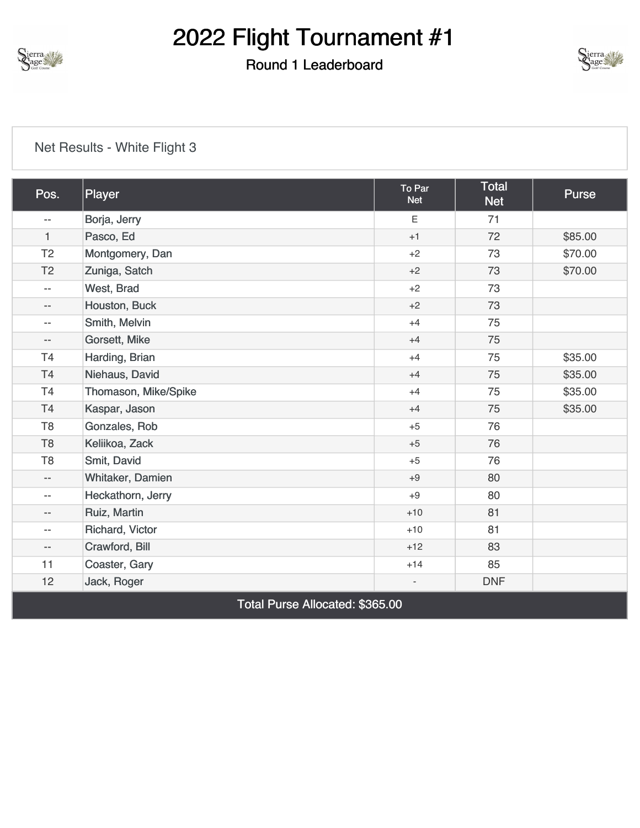

## Round 1 Leaderboard



#### [Net Results - White Flight 3](https://cdn2.golfgenius.com/v2tournaments/8372756065481138337?called_from=&round_index=1)

| Pos.                     | Player               | To Par<br><b>Net</b>     | <b>Total</b><br><b>Net</b> | Purse   |
|--------------------------|----------------------|--------------------------|----------------------------|---------|
| $- -$                    | Borja, Jerry         | E                        | 71                         |         |
| $\mathbf{1}$             | Pasco, Ed            | $+1$                     | 72                         | \$85.00 |
| T <sub>2</sub>           | Montgomery, Dan      | $+2$                     | 73                         | \$70.00 |
| T <sub>2</sub>           | Zuniga, Satch        | $+2$                     | 73                         | \$70.00 |
| $\overline{\phantom{a}}$ | West, Brad           | $+2$                     | 73                         |         |
| $\overline{\phantom{a}}$ | Houston, Buck        | $+2$                     | 73                         |         |
| $\overline{\phantom{a}}$ | Smith, Melvin        | $+4$                     | 75                         |         |
| $-\,-$                   | Gorsett, Mike        | $+4$                     | 75                         |         |
| T <sub>4</sub>           | Harding, Brian       | $+4$                     | 75                         | \$35.00 |
| T <sub>4</sub>           | Niehaus, David       | $+4$                     | 75                         | \$35.00 |
| T <sub>4</sub>           | Thomason, Mike/Spike | $+4$                     | 75                         | \$35.00 |
| T <sub>4</sub>           | Kaspar, Jason        | $+4$                     | 75                         | \$35.00 |
| T <sub>8</sub>           | Gonzales, Rob        | $+5$                     | 76                         |         |
| T <sub>8</sub>           | Keliikoa, Zack       | $+5$                     | 76                         |         |
| T <sub>8</sub>           | Smit, David          | $+5$                     | 76                         |         |
| $- -$                    | Whitaker, Damien     | $+9$                     | 80                         |         |
| $\overline{\phantom{a}}$ | Heckathorn, Jerry    | $+9$                     | 80                         |         |
| $\qquad \qquad -$        | Ruiz, Martin         | $+10$                    | 81                         |         |
| $\overline{\phantom{a}}$ | Richard, Victor      | $+10$                    | 81                         |         |
| $- -$                    | Crawford, Bill       | $+12$                    | 83                         |         |
| 11                       | Coaster, Gary        | $+14$                    | 85                         |         |
| 12                       | Jack, Roger          | $\overline{\phantom{0}}$ | <b>DNF</b>                 |         |

Total Purse Allocated: \$365.00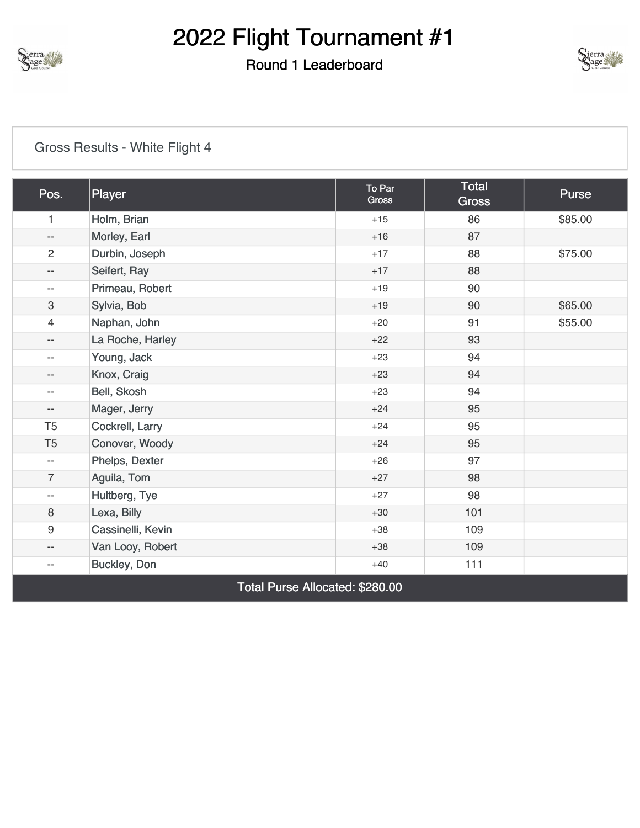

## Round 1 Leaderboard



### [Gross Results - White Flight 4](https://cdn2.golfgenius.com/v2tournaments/8372756056387887261?called_from=&round_index=1)

| Pos.                      | Player                          | To Par<br><b>Gross</b> | <b>Total</b><br><b>Gross</b> | Purse   |  |  |
|---------------------------|---------------------------------|------------------------|------------------------------|---------|--|--|
| 1                         | Holm, Brian                     | $+15$                  | 86                           | \$85.00 |  |  |
| $\qquad \qquad -$         | Morley, Earl                    | $+16$                  | 87                           |         |  |  |
| $\overline{c}$            | Durbin, Joseph                  | $+17$                  | 88                           | \$75.00 |  |  |
| $- -$                     | Seifert, Ray                    | $+17$                  | 88                           |         |  |  |
| $-\,-$                    | Primeau, Robert                 | $+19$                  | 90                           |         |  |  |
| $\ensuremath{\mathsf{3}}$ | Sylvia, Bob                     | $+19$                  | 90                           | \$65.00 |  |  |
| $\overline{4}$            | Naphan, John                    | $+20$                  | 91                           | \$55.00 |  |  |
| $-\, -$                   | La Roche, Harley                | $+22$                  | 93                           |         |  |  |
| $-\,-$                    | Young, Jack                     | $+23$                  | 94                           |         |  |  |
| $\qquad \qquad -$         | Knox, Craig                     | $+23$                  | 94                           |         |  |  |
| $\overline{\phantom{m}}$  | Bell, Skosh                     | $+23$                  | 94                           |         |  |  |
| $- -$                     | Mager, Jerry                    | $+24$                  | 95                           |         |  |  |
| T <sub>5</sub>            | Cockrell, Larry                 | $+24$                  | 95                           |         |  |  |
| T <sub>5</sub>            | Conover, Woody                  | $+24$                  | 95                           |         |  |  |
| $\overline{\phantom{m}}$  | Phelps, Dexter                  | $+26$                  | 97                           |         |  |  |
| $\overline{7}$            | Aguila, Tom                     | $+27$                  | 98                           |         |  |  |
| $\overline{\phantom{m}}$  | Hultberg, Tye                   | $+27$                  | 98                           |         |  |  |
| 8                         | Lexa, Billy                     | $+30$                  | 101                          |         |  |  |
| $\boldsymbol{9}$          | Cassinelli, Kevin               | $+38$                  | 109                          |         |  |  |
| $-\,-$                    | Van Looy, Robert                | $+38$                  | 109                          |         |  |  |
| $- \, -$                  | Buckley, Don                    | $+40$                  | 111                          |         |  |  |
|                           | Total Purse Allocated: \$280.00 |                        |                              |         |  |  |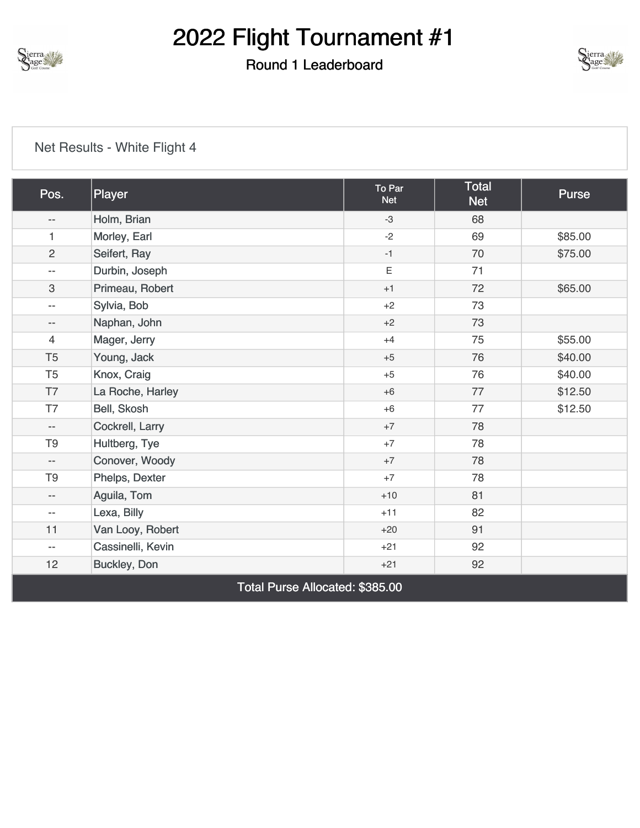

## Round 1 Leaderboard



| Pos.                     | Player                          | To Par<br><b>Net</b> | Total<br><b>Net</b> | Purse   |  |  |
|--------------------------|---------------------------------|----------------------|---------------------|---------|--|--|
| $- \, -$                 | Holm, Brian                     | $-3$                 | 68                  |         |  |  |
| $\mathbf{1}$             | Morley, Earl                    | $-2$                 | 69                  | \$85.00 |  |  |
| $\overline{c}$           | Seifert, Ray                    | $-1$                 | 70                  | \$75.00 |  |  |
| $\overline{\phantom{m}}$ | Durbin, Joseph                  | $\mathsf E$          | 71                  |         |  |  |
| 3                        | Primeau, Robert                 | $+1$                 | 72                  | \$65.00 |  |  |
| $\overline{\phantom{a}}$ | Sylvia, Bob                     | $+2$                 | 73                  |         |  |  |
| $- -$                    | Naphan, John                    | $+2$                 | 73                  |         |  |  |
| 4                        | Mager, Jerry                    | $+4$                 | 75                  | \$55.00 |  |  |
| T <sub>5</sub>           | Young, Jack                     | $+5$                 | 76                  | \$40.00 |  |  |
| T <sub>5</sub>           | Knox, Craig                     | $+5$                 | 76                  | \$40.00 |  |  |
| T7                       | La Roche, Harley                | $+6$                 | 77                  | \$12.50 |  |  |
| T7                       | Bell, Skosh                     | $+6$                 | 77                  | \$12.50 |  |  |
| $\overline{\phantom{a}}$ | Cockrell, Larry                 | $+7$                 | 78                  |         |  |  |
| T <sub>9</sub>           | Hultberg, Tye                   | $+7$                 | 78                  |         |  |  |
| $- -$                    | Conover, Woody                  | $+7$                 | 78                  |         |  |  |
| T <sub>9</sub>           | Phelps, Dexter                  | $+7$                 | 78                  |         |  |  |
| $-\, -$                  | Aguila, Tom                     | $+10$                | 81                  |         |  |  |
| $\overline{\phantom{a}}$ | Lexa, Billy                     | $+11$                | 82                  |         |  |  |
| 11                       | Van Looy, Robert                | $+20$                | 91                  |         |  |  |
| $\overline{\phantom{a}}$ | Cassinelli, Kevin               | $+21$                | 92                  |         |  |  |
| 12                       | Buckley, Don                    | $+21$                | 92                  |         |  |  |
|                          | Total Purse Allocated: \$385.00 |                      |                     |         |  |  |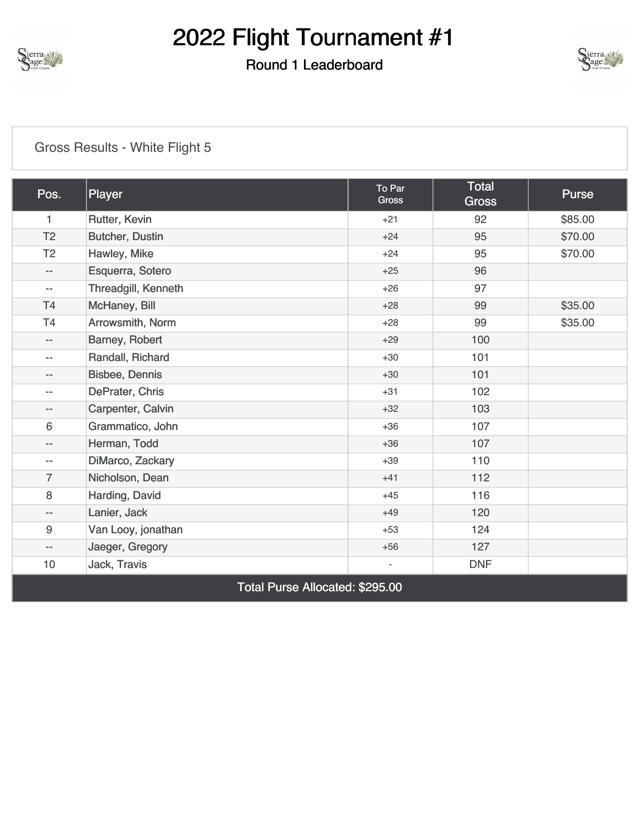

## Round 1 Leaderboard



### [Gross Results - White Flight 5](https://cdn2.golfgenius.com/v2tournaments/8372756045449142426?called_from=&round_index=1)

| Pos.                            | Player              | To Par<br>Gross              | <b>Total</b><br><b>Gross</b> | <b>Purse</b> |  |
|---------------------------------|---------------------|------------------------------|------------------------------|--------------|--|
| $\mathbf{1}$                    | Rutter, Kevin       | $+21$                        | 92                           | \$85.00      |  |
| T <sub>2</sub>                  | Butcher, Dustin     | $+24$                        | 95                           | \$70.00      |  |
| T <sub>2</sub>                  | Hawley, Mike        | $+24$                        | 95                           | \$70.00      |  |
| $\qquad \qquad -$               | Esquerra, Sotero    | $+25$                        | 96                           |              |  |
| $\overline{\phantom{m}}$        | Threadgill, Kenneth | $+26$                        | 97                           |              |  |
| <b>T4</b>                       | McHaney, Bill       | $+28$                        | 99                           | \$35.00      |  |
| T <sub>4</sub>                  | Arrowsmith, Norm    | $+28$                        | 99                           | \$35.00      |  |
| --                              | Barney, Robert      | $+29$                        | 100                          |              |  |
| $\overline{\phantom{a}}$        | Randall, Richard    | $+30$                        | 101                          |              |  |
| $\qquad \qquad -$               | Bisbee, Dennis      | $+30$                        | 101                          |              |  |
| $-$                             | DePrater, Chris     | $+31$                        | 102                          |              |  |
| --                              | Carpenter, Calvin   | $+32$                        | 103                          |              |  |
| 6                               | Grammatico, John    | $+36$                        | 107                          |              |  |
| $- -$                           | Herman, Todd        | $+36$                        | 107                          |              |  |
| $\qquad \qquad -$               | DiMarco, Zackary    | $+39$                        | 110                          |              |  |
| $\overline{7}$                  | Nicholson, Dean     | $+41$                        | 112                          |              |  |
| $\,8\,$                         | Harding, David      | $+45$                        | 116                          |              |  |
| $\qquad \qquad -$               | Lanier, Jack        | $+49$                        | 120                          |              |  |
| 9                               | Van Looy, jonathan  | $+53$                        | 124                          |              |  |
| $\overline{\phantom{a}}$        | Jaeger, Gregory     | $+56$                        | 127                          |              |  |
| 10                              | Jack, Travis        | $\qquad \qquad \blacksquare$ | <b>DNF</b>                   |              |  |
| Total Purse Allocated: \$295.00 |                     |                              |                              |              |  |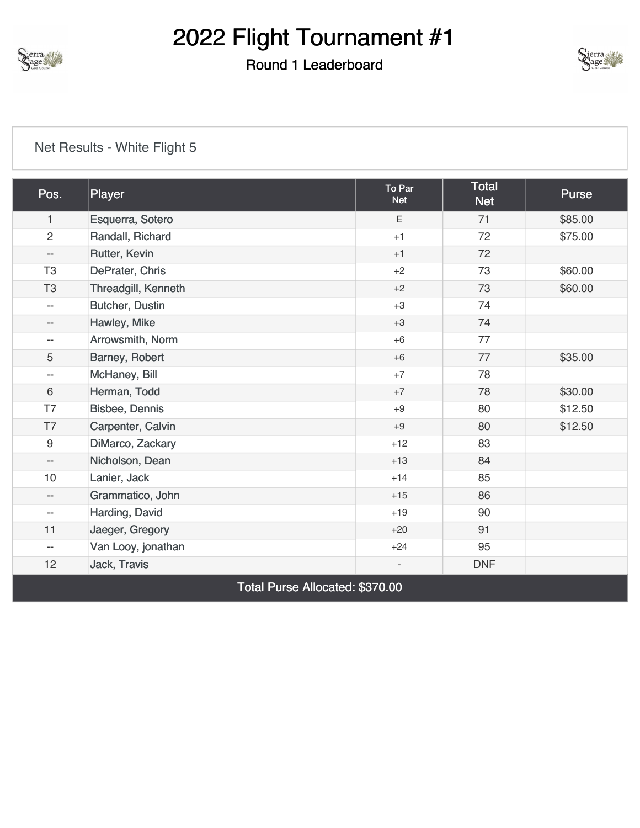

## Round 1 Leaderboard



| Pos.                     | Player                          | To Par<br><b>Net</b>     | <b>Total</b><br><b>Net</b> | <b>Purse</b> |  |  |
|--------------------------|---------------------------------|--------------------------|----------------------------|--------------|--|--|
| $\mathbf{1}$             | Esquerra, Sotero                | Ε                        | 71                         | \$85.00      |  |  |
| $\overline{2}$           | Randall, Richard                | $+1$                     | 72                         | \$75.00      |  |  |
| $-\,-$                   | Rutter, Kevin                   | $+1$                     | 72                         |              |  |  |
| T <sub>3</sub>           | DePrater, Chris                 | $+2$                     | 73                         | \$60.00      |  |  |
| T <sub>3</sub>           | Threadgill, Kenneth             | $+2$                     | 73                         | \$60.00      |  |  |
| $\overline{\phantom{m}}$ | Butcher, Dustin                 | $+3$                     | 74                         |              |  |  |
| $- -$                    | Hawley, Mike                    | $+3$                     | 74                         |              |  |  |
| $-\,-$                   | Arrowsmith, Norm                | $+6$                     | 77                         |              |  |  |
| 5                        | Barney, Robert                  | $+6$                     | 77                         | \$35.00      |  |  |
| $\overline{\phantom{m}}$ | McHaney, Bill                   | $+7$                     | 78                         |              |  |  |
| 6                        | Herman, Todd                    | $+7$                     | 78                         | \$30.00      |  |  |
| T7                       | Bisbee, Dennis                  | $+9$                     | 80                         | \$12.50      |  |  |
| T7                       | Carpenter, Calvin               | $+9$                     | 80                         | \$12.50      |  |  |
| 9                        | DiMarco, Zackary                | $+12$                    | 83                         |              |  |  |
| $\overline{\phantom{a}}$ | Nicholson, Dean                 | $+13$                    | 84                         |              |  |  |
| 10                       | Lanier, Jack                    | $+14$                    | 85                         |              |  |  |
| $\overline{\phantom{m}}$ | Grammatico, John                | $+15$                    | 86                         |              |  |  |
| $-\,-$                   | Harding, David                  | $+19$                    | 90                         |              |  |  |
| 11                       | Jaeger, Gregory                 | $+20$                    | 91                         |              |  |  |
| $-\,-$                   | Van Looy, jonathan              | $+24$                    | 95                         |              |  |  |
| 12                       | Jack, Travis                    | $\overline{\phantom{a}}$ | <b>DNF</b>                 |              |  |  |
|                          | Total Purse Allocated: \$370.00 |                          |                            |              |  |  |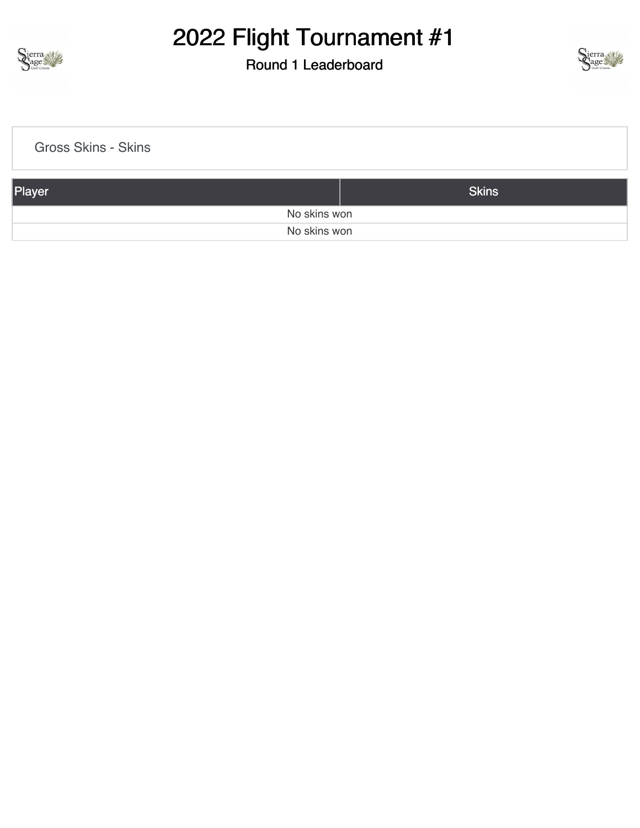

## Round 1 Leaderboard



| <b>Gross Skins - Skins</b> |              |  |
|----------------------------|--------------|--|
| Player                     | <b>Skins</b> |  |
| No skins won               |              |  |
| No skins won               |              |  |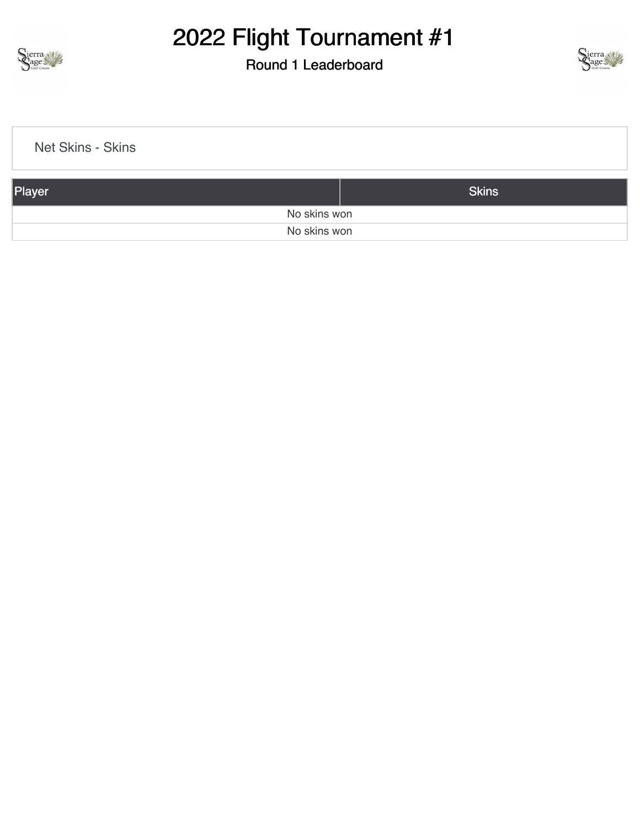

## Round 1 Leaderboard



| Net Skins - Skins |              |
|-------------------|--------------|
| Player            | <b>Skins</b> |
| No skins won      |              |
| No skins won      |              |